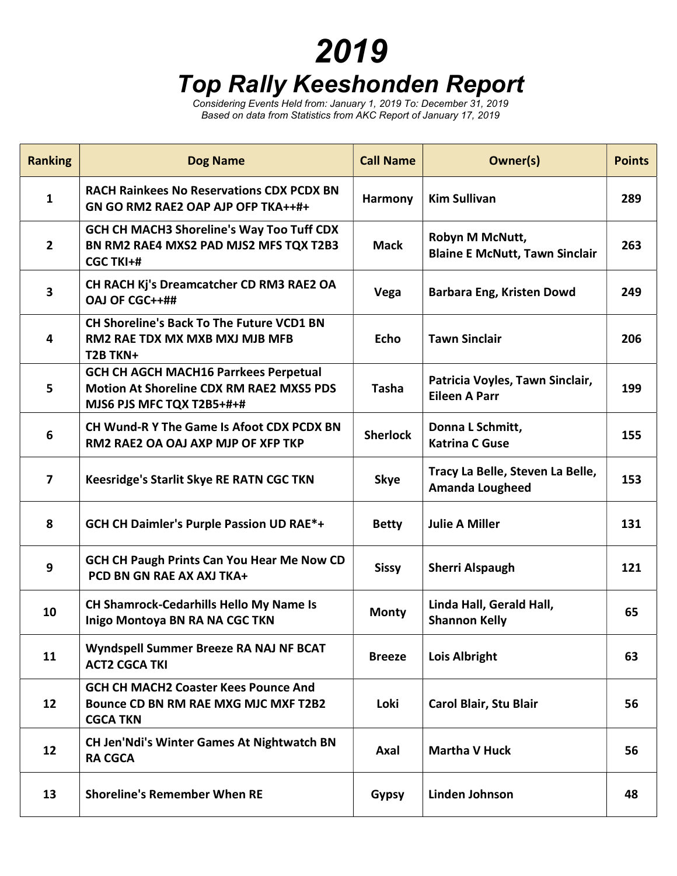## 2019 Top Rally Keeshonden Report

Considering Events Held from: January 1, 2019 To: December 31, 2019 Based on data from Statistics from AKC Report of January 17, 2019

| <b>Ranking</b>          | <b>Dog Name</b>                                                                                                              | <b>Call Name</b> | Owner(s)                                                   | <b>Points</b> |
|-------------------------|------------------------------------------------------------------------------------------------------------------------------|------------------|------------------------------------------------------------|---------------|
| 1                       | <b>RACH Rainkees No Reservations CDX PCDX BN</b><br>GN GO RM2 RAE2 OAP AJP OFP TKA++#+                                       | Harmony          | <b>Kim Sullivan</b>                                        | 289           |
| $\overline{2}$          | <b>GCH CH MACH3 Shoreline's Way Too Tuff CDX</b><br>BN RM2 RAE4 MXS2 PAD MJS2 MFS TQX T2B3<br><b>CGC TKI+#</b>               | <b>Mack</b>      | Robyn M McNutt,<br><b>Blaine E McNutt, Tawn Sinclair</b>   | 263           |
| $\overline{\mathbf{3}}$ | CH RACH Kj's Dreamcatcher CD RM3 RAE2 OA<br>OAJ OF CGC++##                                                                   | Vega             | Barbara Eng, Kristen Dowd                                  | 249           |
| 4                       | <b>CH Shoreline's Back To The Future VCD1 BN</b><br><b>RM2 RAE TDX MX MXB MXJ MJB MFB</b><br>T2B TKN+                        | <b>Echo</b>      | <b>Tawn Sinclair</b>                                       | 206           |
| 5                       | <b>GCH CH AGCH MACH16 Parrkees Perpetual</b><br><b>Motion At Shoreline CDX RM RAE2 MXS5 PDS</b><br>MJS6 PJS MFC TQX T2B5+#+# | <b>Tasha</b>     | Patricia Voyles, Tawn Sinclair,<br><b>Eileen A Parr</b>    | 199           |
| 6                       | <b>CH Wund-R Y The Game Is Afoot CDX PCDX BN</b><br>RM2 RAE2 OA OAJ AXP MJP OF XFP TKP                                       | <b>Sherlock</b>  | Donna L Schmitt,<br><b>Katrina C Guse</b>                  | 155           |
| $\overline{7}$          | Keesridge's Starlit Skye RE RATN CGC TKN                                                                                     | <b>Skye</b>      | Tracy La Belle, Steven La Belle,<br><b>Amanda Lougheed</b> | 153           |
| 8                       | <b>GCH CH Daimler's Purple Passion UD RAE*+</b>                                                                              | <b>Betty</b>     | <b>Julie A Miller</b>                                      | 131           |
| 9                       | <b>GCH CH Paugh Prints Can You Hear Me Now CD</b><br>PCD BN GN RAE AX AXJ TKA+                                               | <b>Sissy</b>     | <b>Sherri Alspaugh</b>                                     | 121           |
| 10                      | <b>CH Shamrock-Cedarhills Hello My Name Is</b><br>Inigo Montoya BN RA NA CGC TKN                                             | <b>Monty</b>     | Linda Hall, Gerald Hall,<br><b>Shannon Kelly</b>           | 65            |
| 11                      | Wyndspell Summer Breeze RA NAJ NF BCAT<br><b>ACT2 CGCA TKI</b>                                                               | <b>Breeze</b>    | <b>Lois Albright</b>                                       | 63            |
| 12                      | <b>GCH CH MACH2 Coaster Kees Pounce And</b><br><b>Bounce CD BN RM RAE MXG MJC MXF T2B2</b><br><b>CGCA TKN</b>                | Loki             | Carol Blair, Stu Blair                                     | 56            |
| 12                      | CH Jen'Ndi's Winter Games At Nightwatch BN<br><b>RA CGCA</b>                                                                 | Axal             | <b>Martha V Huck</b>                                       | 56            |
| 13                      | <b>Shoreline's Remember When RE</b>                                                                                          | <b>Gypsy</b>     | Linden Johnson                                             | 48            |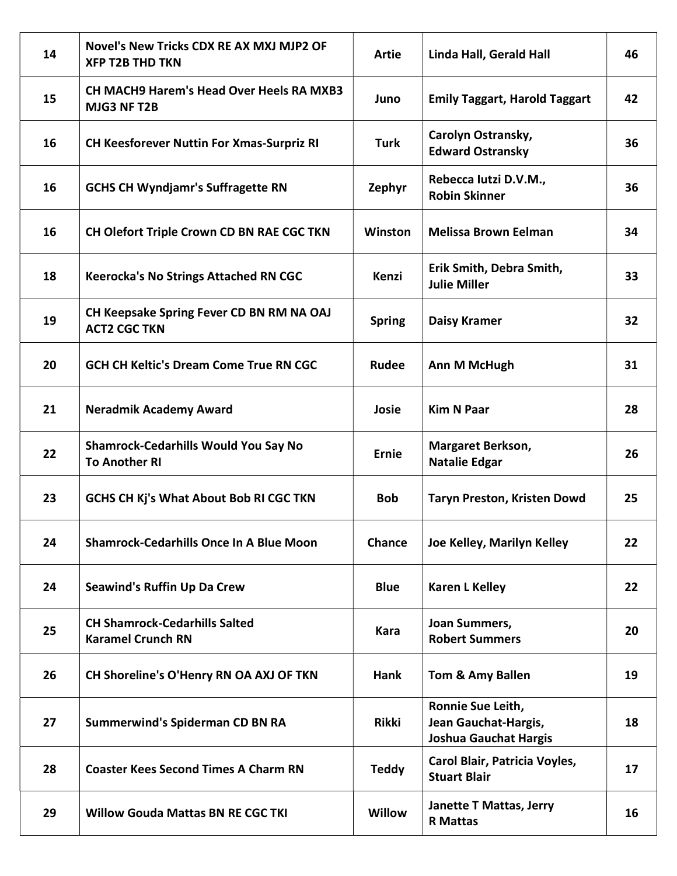| 14 | Novel's New Tricks CDX RE AX MXJ MJP2 OF<br><b>XFP T2B THD TKN</b>  | <b>Artie</b>  | Linda Hall, Gerald Hall                                                   | 46 |
|----|---------------------------------------------------------------------|---------------|---------------------------------------------------------------------------|----|
| 15 | <b>CH MACH9 Harem's Head Over Heels RA MXB3</b><br>MJG3 NF T2B      | Juno          | <b>Emily Taggart, Harold Taggart</b>                                      | 42 |
| 16 | <b>CH Keesforever Nuttin For Xmas-Surpriz RI</b>                    | <b>Turk</b>   | Carolyn Ostransky,<br><b>Edward Ostransky</b>                             | 36 |
| 16 | <b>GCHS CH Wyndjamr's Suffragette RN</b>                            | Zephyr        | Rebecca lutzi D.V.M.,<br><b>Robin Skinner</b>                             | 36 |
| 16 | CH Olefort Triple Crown CD BN RAE CGC TKN                           | Winston       | <b>Melissa Brown Eelman</b>                                               | 34 |
| 18 | <b>Keerocka's No Strings Attached RN CGC</b>                        | <b>Kenzi</b>  | Erik Smith, Debra Smith,<br><b>Julie Miller</b>                           | 33 |
| 19 | CH Keepsake Spring Fever CD BN RM NA OAJ<br><b>ACT2 CGC TKN</b>     | <b>Spring</b> | <b>Daisy Kramer</b>                                                       | 32 |
| 20 | <b>GCH CH Keltic's Dream Come True RN CGC</b>                       | <b>Rudee</b>  | <b>Ann M McHugh</b>                                                       | 31 |
| 21 | <b>Neradmik Academy Award</b>                                       | Josie         | <b>Kim N Paar</b>                                                         | 28 |
| 22 | <b>Shamrock-Cedarhills Would You Say No</b><br><b>To Another RI</b> | <b>Ernie</b>  | Margaret Berkson,<br><b>Natalie Edgar</b>                                 | 26 |
| 23 | <b>GCHS CH Kj's What About Bob RI CGC TKN</b>                       | <b>Bob</b>    | <b>Taryn Preston, Kristen Dowd</b>                                        | 25 |
| 24 | <b>Shamrock-Cedarhills Once In A Blue Moon</b>                      | Chance        | Joe Kelley, Marilyn Kelley                                                | 22 |
| 24 | <b>Seawind's Ruffin Up Da Crew</b>                                  | <b>Blue</b>   | <b>Karen L Kelley</b>                                                     | 22 |
| 25 | <b>CH Shamrock-Cedarhills Salted</b><br><b>Karamel Crunch RN</b>    | <b>Kara</b>   | Joan Summers,<br><b>Robert Summers</b>                                    | 20 |
| 26 | CH Shoreline's O'Henry RN OA AXJ OF TKN                             | Hank          | Tom & Amy Ballen                                                          | 19 |
| 27 | <b>Summerwind's Spiderman CD BN RA</b>                              | <b>Rikki</b>  | Ronnie Sue Leith,<br>Jean Gauchat-Hargis,<br><b>Joshua Gauchat Hargis</b> | 18 |
| 28 | <b>Coaster Kees Second Times A Charm RN</b>                         | <b>Teddy</b>  | Carol Blair, Patricia Voyles,<br><b>Stuart Blair</b>                      | 17 |
| 29 | <b>Willow Gouda Mattas BN RE CGC TKI</b>                            | Willow        | <b>Janette T Mattas, Jerry</b><br><b>R</b> Mattas                         | 16 |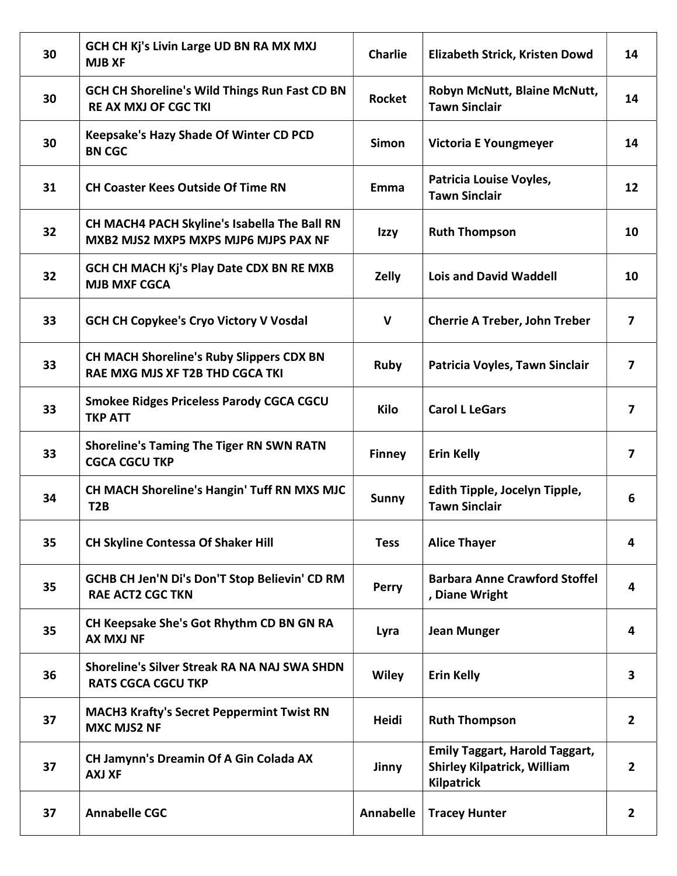| 30 | GCH CH Kj's Livin Large UD BN RA MX MXJ<br><b>MJB XF</b>                                  | <b>Charlie</b> | Elizabeth Strick, Kristen Dowd                                                                   | 14                      |
|----|-------------------------------------------------------------------------------------------|----------------|--------------------------------------------------------------------------------------------------|-------------------------|
| 30 | <b>GCH CH Shoreline's Wild Things Run Fast CD BN</b><br><b>RE AX MXJ OF CGC TKI</b>       | <b>Rocket</b>  | Robyn McNutt, Blaine McNutt,<br><b>Tawn Sinclair</b>                                             | 14                      |
| 30 | Keepsake's Hazy Shade Of Winter CD PCD<br><b>BN CGC</b>                                   | <b>Simon</b>   | Victoria E Youngmeyer                                                                            | 14                      |
| 31 | <b>CH Coaster Kees Outside Of Time RN</b>                                                 | Emma           | Patricia Louise Voyles,<br><b>Tawn Sinclair</b>                                                  | 12                      |
| 32 | CH MACH4 PACH Skyline's Isabella The Ball RN<br>MXB2 MJS2 MXP5 MXPS MJP6 MJPS PAX NF      | Izzy           | <b>Ruth Thompson</b>                                                                             | 10                      |
| 32 | GCH CH MACH Kj's Play Date CDX BN RE MXB<br><b>MJB MXF CGCA</b>                           | Zelly          | <b>Lois and David Waddell</b>                                                                    | 10                      |
| 33 | <b>GCH CH Copykee's Cryo Victory V Vosdal</b>                                             | $\mathbf{V}$   | <b>Cherrie A Treber, John Treber</b>                                                             | $\overline{7}$          |
| 33 | <b>CH MACH Shoreline's Ruby Slippers CDX BN</b><br><b>RAE MXG MJS XF T2B THD CGCA TKI</b> | <b>Ruby</b>    | Patricia Voyles, Tawn Sinclair                                                                   | $\overline{\mathbf{z}}$ |
| 33 | <b>Smokee Ridges Priceless Parody CGCA CGCU</b><br><b>TKP ATT</b>                         | Kilo           | <b>Carol L LeGars</b>                                                                            | $\overline{ }$          |
| 33 | <b>Shoreline's Taming The Tiger RN SWN RATN</b><br><b>CGCA CGCU TKP</b>                   | <b>Finney</b>  | <b>Erin Kelly</b>                                                                                | 7                       |
| 34 | CH MACH Shoreline's Hangin' Tuff RN MXS MJC<br>T <sub>2</sub> B                           | <b>Sunny</b>   | Edith Tipple, Jocelyn Tipple,<br><b>Tawn Sinclair</b>                                            | 6                       |
| 35 | <b>CH Skyline Contessa Of Shaker Hill</b>                                                 | <b>Tess</b>    | <b>Alice Thayer</b>                                                                              | 4                       |
| 35 | GCHB CH Jen'N Di's Don'T Stop Believin' CD RM<br><b>RAE ACT2 CGC TKN</b>                  | <b>Perry</b>   | <b>Barbara Anne Crawford Stoffel</b><br>, Diane Wright                                           | 4                       |
| 35 | CH Keepsake She's Got Rhythm CD BN GN RA<br><b>AX MXJ NF</b>                              | Lyra           | <b>Jean Munger</b>                                                                               | 4                       |
| 36 | Shoreline's Silver Streak RA NA NAJ SWA SHDN<br><b>RATS CGCA CGCU TKP</b>                 | <b>Wiley</b>   | <b>Erin Kelly</b>                                                                                | $\overline{\mathbf{3}}$ |
| 37 | <b>MACH3 Krafty's Secret Peppermint Twist RN</b><br><b>MXC MJS2 NF</b>                    | <b>Heidi</b>   | <b>Ruth Thompson</b>                                                                             | $\mathbf{2}$            |
| 37 | CH Jamynn's Dreamin Of A Gin Colada AX<br><b>AXJ XF</b>                                   | Jinny          | <b>Emily Taggart, Harold Taggart,</b><br><b>Shirley Kilpatrick, William</b><br><b>Kilpatrick</b> | $\overline{2}$          |
| 37 | <b>Annabelle CGC</b>                                                                      | Annabelle      | <b>Tracey Hunter</b>                                                                             | $\mathbf{2}$            |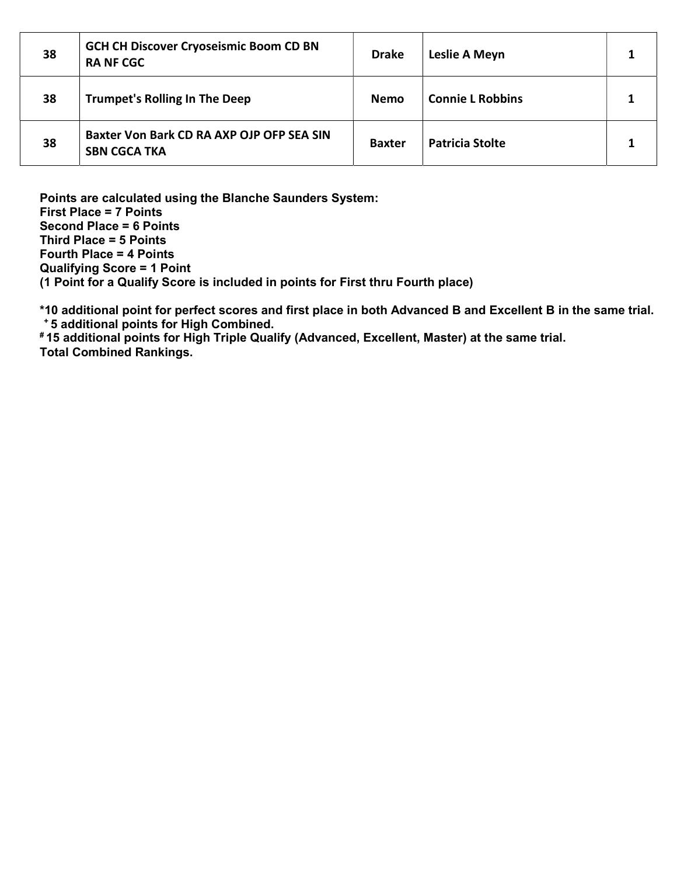| 38 | <b>GCH CH Discover Cryoseismic Boom CD BN</b><br><b>RA NF CGC</b> | <b>Drake</b>  | Leslie A Meyn           |  |
|----|-------------------------------------------------------------------|---------------|-------------------------|--|
| 38 | <b>Trumpet's Rolling In The Deep</b>                              | Nemo          | <b>Connie L Robbins</b> |  |
| 38 | Baxter Von Bark CD RA AXP OJP OFP SEA SIN<br><b>SBN CGCA TKA</b>  | <b>Baxter</b> | <b>Patricia Stolte</b>  |  |

Points are calculated using the Blanche Saunders System: First Place = 7 Points Second Place = 6 Points Third Place = 5 Points Fourth Place = 4 Points Qualifying Score = 1 Point (1 Point for a Qualify Score is included in points for First thru Fourth place)

\*10 additional point for perfect scores and first place in both Advanced B and Excellent B in the same trial. <sup>+</sup>5 additional points for High Combined.

# 15 additional points for High Triple Qualify (Advanced, Excellent, Master) at the same trial. Total Combined Rankings.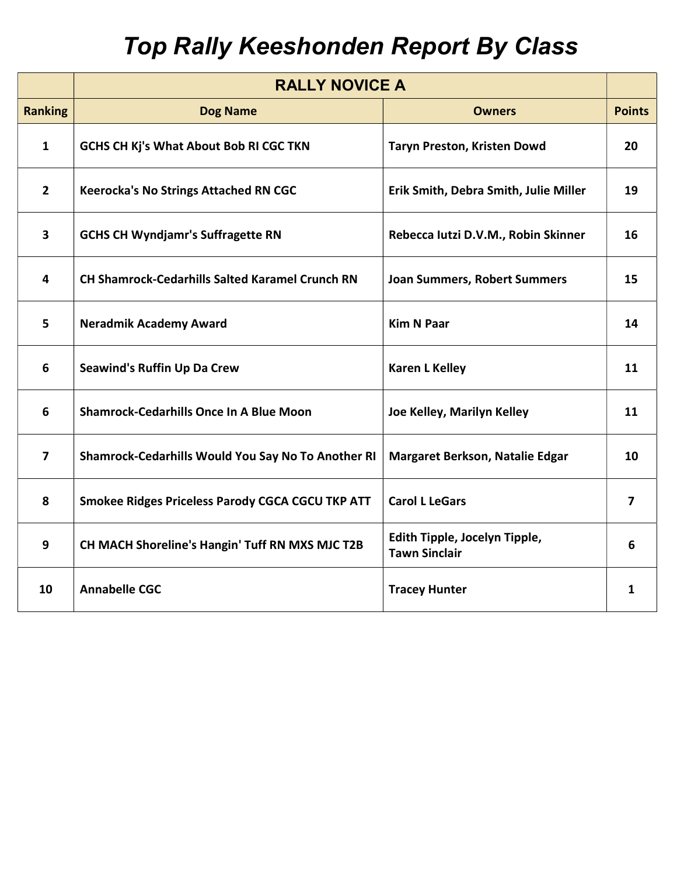## Top Rally Keeshonden Report By Class

|                         | <b>RALLY NOVICE A</b>                                     |                                                       |               |
|-------------------------|-----------------------------------------------------------|-------------------------------------------------------|---------------|
| <b>Ranking</b>          | <b>Dog Name</b>                                           | <b>Owners</b>                                         | <b>Points</b> |
| $\mathbf{1}$            | GCHS CH Kj's What About Bob RI CGC TKN                    | Taryn Preston, Kristen Dowd                           | 20            |
| $\overline{2}$          | <b>Keerocka's No Strings Attached RN CGC</b>              | Erik Smith, Debra Smith, Julie Miller                 | 19            |
| $\overline{\mathbf{3}}$ | <b>GCHS CH Wyndjamr's Suffragette RN</b>                  | Rebecca Iutzi D.V.M., Robin Skinner                   | 16            |
| $\overline{4}$          | <b>CH Shamrock-Cedarhills Salted Karamel Crunch RN</b>    | <b>Joan Summers, Robert Summers</b>                   | 15            |
| 5                       | <b>Neradmik Academy Award</b>                             | <b>Kim N Paar</b>                                     | 14            |
| 6                       | <b>Seawind's Ruffin Up Da Crew</b>                        | <b>Karen L Kelley</b>                                 | 11            |
| 6                       | <b>Shamrock-Cedarhills Once In A Blue Moon</b>            | Joe Kelley, Marilyn Kelley                            | 11            |
| $\overline{\mathbf{z}}$ | <b>Shamrock-Cedarhills Would You Say No To Another RI</b> | <b>Margaret Berkson, Natalie Edgar</b>                | 10            |
| 8                       | <b>Smokee Ridges Priceless Parody CGCA CGCU TKP ATT</b>   | <b>Carol L LeGars</b>                                 | 7             |
| 9                       | CH MACH Shoreline's Hangin' Tuff RN MXS MJC T2B           | Edith Tipple, Jocelyn Tipple,<br><b>Tawn Sinclair</b> | 6             |
| 10                      | <b>Annabelle CGC</b>                                      | <b>Tracey Hunter</b>                                  | $\mathbf{1}$  |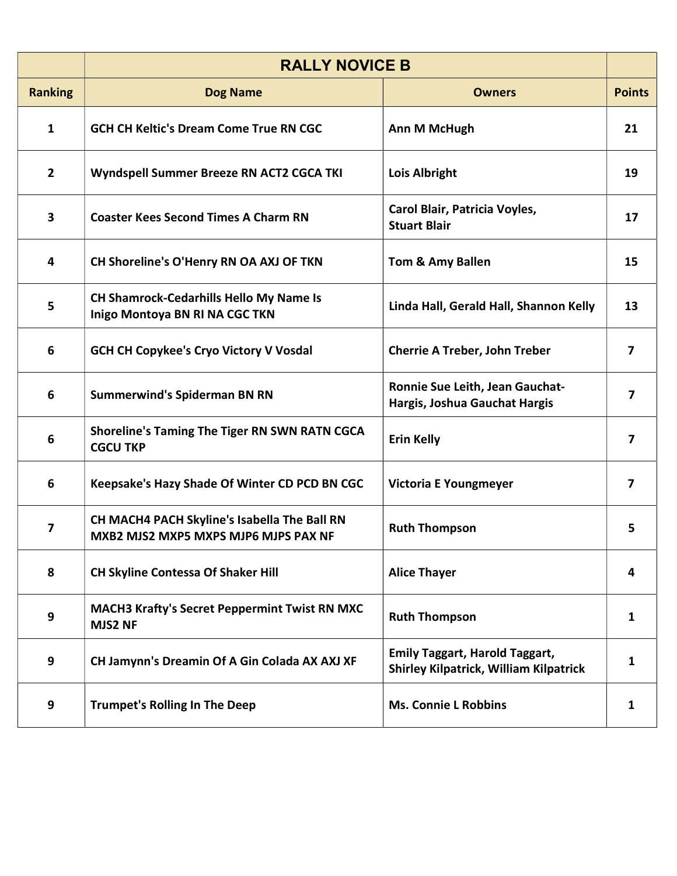|                | <b>RALLY NOVICE B</b>                                                                |                                                                                        |                         |
|----------------|--------------------------------------------------------------------------------------|----------------------------------------------------------------------------------------|-------------------------|
| <b>Ranking</b> | <b>Dog Name</b>                                                                      | <b>Owners</b>                                                                          | <b>Points</b>           |
| $\mathbf{1}$   | <b>GCH CH Keltic's Dream Come True RN CGC</b>                                        | Ann M McHugh                                                                           | 21                      |
| $\overline{2}$ | Wyndspell Summer Breeze RN ACT2 CGCA TKI                                             | <b>Lois Albright</b>                                                                   | 19                      |
| 3              | <b>Coaster Kees Second Times A Charm RN</b>                                          | Carol Blair, Patricia Voyles,<br><b>Stuart Blair</b>                                   | 17                      |
| 4              | CH Shoreline's O'Henry RN OA AXJ OF TKN                                              | Tom & Amy Ballen                                                                       | 15                      |
| 5              | <b>CH Shamrock-Cedarhills Hello My Name Is</b><br>Inigo Montoya BN RI NA CGC TKN     | Linda Hall, Gerald Hall, Shannon Kelly                                                 | 13                      |
| 6              | <b>GCH CH Copykee's Cryo Victory V Vosdal</b>                                        | <b>Cherrie A Treber, John Treber</b>                                                   | 7                       |
| 6              | <b>Summerwind's Spiderman BN RN</b>                                                  | Ronnie Sue Leith, Jean Gauchat-<br>Hargis, Joshua Gauchat Hargis                       | $\overline{\mathbf{z}}$ |
| 6              | <b>Shoreline's Taming The Tiger RN SWN RATN CGCA</b><br><b>CGCU TKP</b>              | <b>Erin Kelly</b>                                                                      | 7                       |
| 6              | Keepsake's Hazy Shade Of Winter CD PCD BN CGC                                        | <b>Victoria E Youngmeyer</b>                                                           | 7                       |
| 7              | CH MACH4 PACH Skyline's Isabella The Ball RN<br>MXB2 MJS2 MXP5 MXPS MJP6 MJPS PAX NF | <b>Ruth Thompson</b>                                                                   | 5                       |
| 8              | <b>CH Skyline Contessa Of Shaker Hill</b>                                            | <b>Alice Thayer</b>                                                                    | 4                       |
| 9              | <b>MACH3 Krafty's Secret Peppermint Twist RN MXC</b><br>MJS2 NF                      | <b>Ruth Thompson</b>                                                                   | 1                       |
| 9              | CH Jamynn's Dreamin Of A Gin Colada AX AXJ XF                                        | <b>Emily Taggart, Harold Taggart,</b><br><b>Shirley Kilpatrick, William Kilpatrick</b> | $\mathbf{1}$            |
| 9              | <b>Trumpet's Rolling In The Deep</b>                                                 | <b>Ms. Connie L Robbins</b>                                                            | 1                       |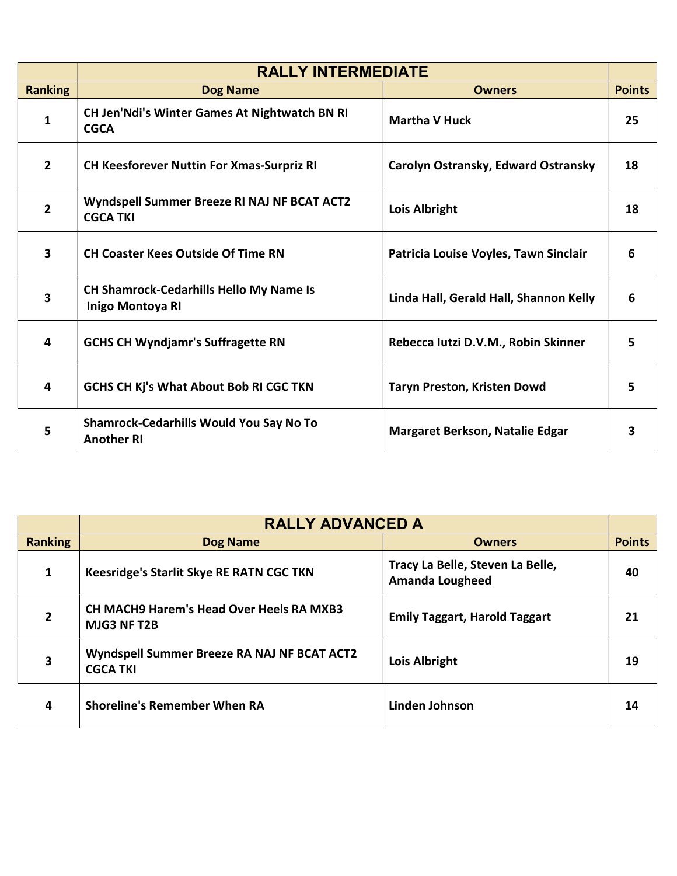|                         | <b>RALLY INTERMEDIATE</b>                                           |                                        |               |
|-------------------------|---------------------------------------------------------------------|----------------------------------------|---------------|
| <b>Ranking</b>          | <b>Dog Name</b>                                                     | <b>Owners</b>                          | <b>Points</b> |
| $\mathbf{1}$            | CH Jen'Ndi's Winter Games At Nightwatch BN RI<br><b>CGCA</b>        | <b>Martha V Huck</b>                   | 25            |
| $\overline{2}$          | <b>CH Keesforever Nuttin For Xmas-Surpriz RI</b>                    | Carolyn Ostransky, Edward Ostransky    | 18            |
| $\mathbf{2}$            | Wyndspell Summer Breeze RI NAJ NF BCAT ACT2<br><b>CGCA TKI</b>      | <b>Lois Albright</b>                   | 18            |
| $\overline{\mathbf{3}}$ | <b>CH Coaster Kees Outside Of Time RN</b>                           | Patricia Louise Voyles, Tawn Sinclair  | 6             |
| $\overline{\mathbf{3}}$ | <b>CH Shamrock-Cedarhills Hello My Name Is</b><br>Inigo Montoya RI  | Linda Hall, Gerald Hall, Shannon Kelly | 6             |
| 4                       | <b>GCHS CH Wyndjamr's Suffragette RN</b>                            | Rebecca Iutzi D.V.M., Robin Skinner    | 5             |
| 4                       | <b>GCHS CH Kj's What About Bob RI CGC TKN</b>                       | <b>Taryn Preston, Kristen Dowd</b>     | 5             |
| 5                       | <b>Shamrock-Cedarhills Would You Say No To</b><br><b>Another RI</b> | Margaret Berkson, Natalie Edgar        |               |

|                | <b>RALLY ADVANCED A</b>                                               |                                                            |               |
|----------------|-----------------------------------------------------------------------|------------------------------------------------------------|---------------|
| <b>Ranking</b> | <b>Dog Name</b>                                                       | <b>Owners</b>                                              | <b>Points</b> |
| 1              | Keesridge's Starlit Skye RE RATN CGC TKN                              | Tracy La Belle, Steven La Belle,<br><b>Amanda Lougheed</b> | 40            |
| $\overline{2}$ | <b>CH MACH9 Harem's Head Over Heels RA MXB3</b><br><b>MJG3 NF T2B</b> | <b>Emily Taggart, Harold Taggart</b>                       | 21            |
| 3              | Wyndspell Summer Breeze RA NAJ NF BCAT ACT2<br><b>CGCA TKI</b>        | <b>Lois Albright</b>                                       | 19            |
| 4              | <b>Shoreline's Remember When RA</b>                                   | Linden Johnson                                             | 14            |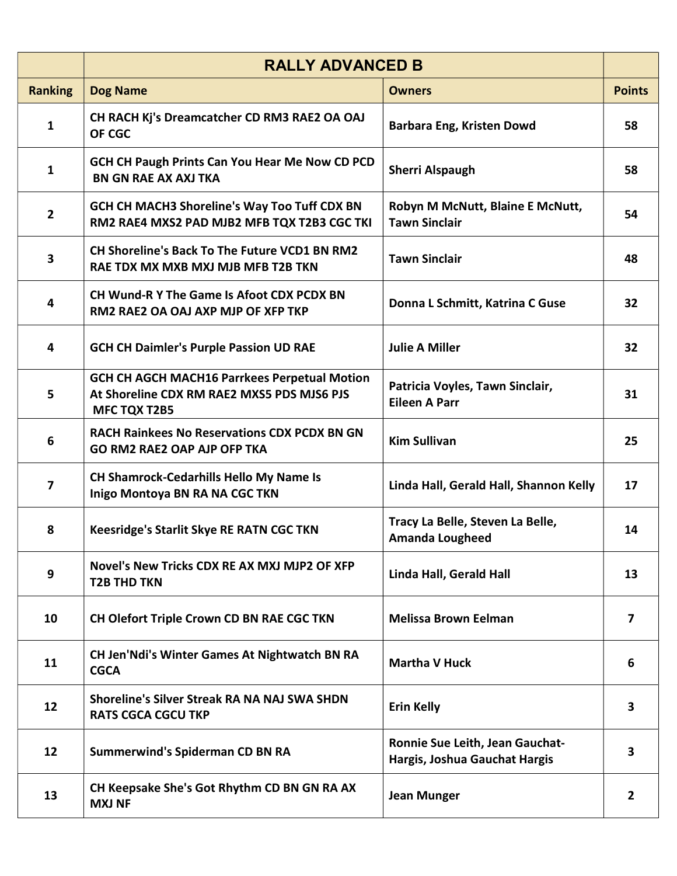|                | <b>RALLY ADVANCED B</b>                                                                                                  |                                                                  |                         |
|----------------|--------------------------------------------------------------------------------------------------------------------------|------------------------------------------------------------------|-------------------------|
| <b>Ranking</b> | <b>Dog Name</b>                                                                                                          | <b>Owners</b>                                                    | <b>Points</b>           |
| 1              | CH RACH Kj's Dreamcatcher CD RM3 RAE2 OA OAJ<br>OF CGC                                                                   | Barbara Eng, Kristen Dowd                                        | 58                      |
| $\mathbf{1}$   | <b>GCH CH Paugh Prints Can You Hear Me Now CD PCD</b><br><b>BN GN RAE AX AXJ TKA</b>                                     | <b>Sherri Alspaugh</b>                                           | 58                      |
| $\overline{2}$ | <b>GCH CH MACH3 Shoreline's Way Too Tuff CDX BN</b><br>RM2 RAE4 MXS2 PAD MJB2 MFB TQX T2B3 CGC TKI                       | Robyn M McNutt, Blaine E McNutt,<br><b>Tawn Sinclair</b>         | 54                      |
| 3              | <b>CH Shoreline's Back To The Future VCD1 BN RM2</b><br>RAE TDX MX MXB MXJ MJB MFB T2B TKN                               | <b>Tawn Sinclair</b>                                             | 48                      |
| 4              | CH Wund-R Y The Game Is Afoot CDX PCDX BN<br>RM2 RAE2 OA OAJ AXP MJP OF XFP TKP                                          | Donna L Schmitt, Katrina C Guse                                  | 32                      |
| 4              | <b>GCH CH Daimler's Purple Passion UD RAE</b>                                                                            | <b>Julie A Miller</b>                                            | 32                      |
| 5              | <b>GCH CH AGCH MACH16 Parrkees Perpetual Motion</b><br>At Shoreline CDX RM RAE2 MXS5 PDS MJS6 PJS<br><b>MFC TQX T2B5</b> | Patricia Voyles, Tawn Sinclair,<br><b>Eileen A Parr</b>          | 31                      |
| 6              | <b>RACH Rainkees No Reservations CDX PCDX BN GN</b><br><b>GO RM2 RAE2 OAP AJP OFP TKA</b>                                | <b>Kim Sullivan</b>                                              | 25                      |
| 7              | <b>CH Shamrock-Cedarhills Hello My Name Is</b><br>Inigo Montoya BN RA NA CGC TKN                                         | Linda Hall, Gerald Hall, Shannon Kelly                           | 17                      |
| 8              | <b>Keesridge's Starlit Skye RE RATN CGC TKN</b>                                                                          | Tracy La Belle, Steven La Belle,<br><b>Amanda Lougheed</b>       | 14                      |
| 9              | Novel's New Tricks CDX RE AX MXJ MJP2 OF XFP<br><b>T2B THD TKN</b>                                                       | Linda Hall, Gerald Hall                                          | 13                      |
| 10             | CH Olefort Triple Crown CD BN RAE CGC TKN                                                                                | <b>Melissa Brown Eelman</b>                                      | $\overline{\mathbf{z}}$ |
| 11             | <b>CH Jen'Ndi's Winter Games At Nightwatch BN RA</b><br><b>CGCA</b>                                                      | <b>Martha V Huck</b>                                             | 6                       |
| 12             | Shoreline's Silver Streak RA NA NAJ SWA SHDN<br><b>RATS CGCA CGCU TKP</b>                                                | <b>Erin Kelly</b>                                                | 3                       |
| 12             | <b>Summerwind's Spiderman CD BN RA</b>                                                                                   | Ronnie Sue Leith, Jean Gauchat-<br>Hargis, Joshua Gauchat Hargis | 3                       |
| 13             | CH Keepsake She's Got Rhythm CD BN GN RA AX<br><b>MXJ NF</b>                                                             | <b>Jean Munger</b>                                               | $\overline{2}$          |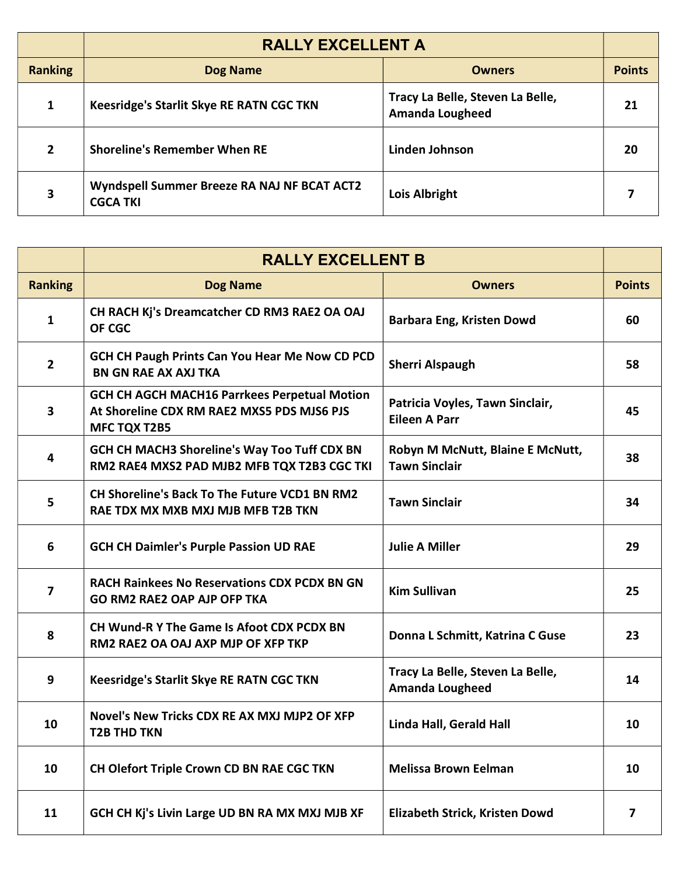|                | <b>RALLY EXCELLENT A</b>                                       |                                                            |               |
|----------------|----------------------------------------------------------------|------------------------------------------------------------|---------------|
| <b>Ranking</b> | <b>Dog Name</b>                                                | <b>Owners</b>                                              | <b>Points</b> |
| 1              | Keesridge's Starlit Skye RE RATN CGC TKN                       | Tracy La Belle, Steven La Belle,<br><b>Amanda Lougheed</b> | 21            |
| $\mathbf{2}$   | <b>Shoreline's Remember When RE</b>                            | Linden Johnson                                             | 20            |
| 3              | Wyndspell Summer Breeze RA NAJ NF BCAT ACT2<br><b>CGCA TKI</b> | <b>Lois Albright</b>                                       |               |

|                | <b>RALLY EXCELLENT B</b>                                                                                                 |                                                            |               |
|----------------|--------------------------------------------------------------------------------------------------------------------------|------------------------------------------------------------|---------------|
| <b>Ranking</b> | <b>Dog Name</b>                                                                                                          | <b>Owners</b>                                              | <b>Points</b> |
| 1              | CH RACH Kj's Dreamcatcher CD RM3 RAE2 OA OAJ<br><b>OF CGC</b>                                                            | <b>Barbara Eng, Kristen Dowd</b>                           | 60            |
| $\overline{2}$ | <b>GCH CH Paugh Prints Can You Hear Me Now CD PCD</b><br><b>BN GN RAE AX AXJ TKA</b>                                     | <b>Sherri Alspaugh</b>                                     | 58            |
| 3              | <b>GCH CH AGCH MACH16 Parrkees Perpetual Motion</b><br>At Shoreline CDX RM RAE2 MXS5 PDS MJS6 PJS<br><b>MFC TQX T2B5</b> | Patricia Voyles, Tawn Sinclair,<br><b>Eileen A Parr</b>    | 45            |
| 4              | <b>GCH CH MACH3 Shoreline's Way Too Tuff CDX BN</b><br>RM2 RAE4 MXS2 PAD MJB2 MFB TQX T2B3 CGC TKI                       | Robyn M McNutt, Blaine E McNutt,<br><b>Tawn Sinclair</b>   | 38            |
| 5              | <b>CH Shoreline's Back To The Future VCD1 BN RM2</b><br>RAE TDX MX MXB MXJ MJB MFB T2B TKN                               | <b>Tawn Sinclair</b>                                       | 34            |
| 6              | <b>GCH CH Daimler's Purple Passion UD RAE</b>                                                                            | <b>Julie A Miller</b>                                      | 29            |
| 7              | <b>RACH Rainkees No Reservations CDX PCDX BN GN</b><br><b>GO RM2 RAE2 OAP AJP OFP TKA</b>                                | <b>Kim Sullivan</b>                                        | 25            |
| 8              | <b>CH Wund-R Y The Game Is Afoot CDX PCDX BN</b><br>RM2 RAE2 OA OAJ AXP MJP OF XFP TKP                                   | Donna L Schmitt, Katrina C Guse                            | 23            |
| 9              | <b>Keesridge's Starlit Skye RE RATN CGC TKN</b>                                                                          | Tracy La Belle, Steven La Belle,<br><b>Amanda Lougheed</b> | 14            |
| 10             | Novel's New Tricks CDX RE AX MXJ MJP2 OF XFP<br><b>T2B THD TKN</b>                                                       | Linda Hall, Gerald Hall                                    | 10            |
| 10             | CH Olefort Triple Crown CD BN RAE CGC TKN                                                                                | <b>Melissa Brown Eelman</b>                                | 10            |
| 11             | GCH CH Kj's Livin Large UD BN RA MX MXJ MJB XF                                                                           | Elizabeth Strick, Kristen Dowd                             | 7             |